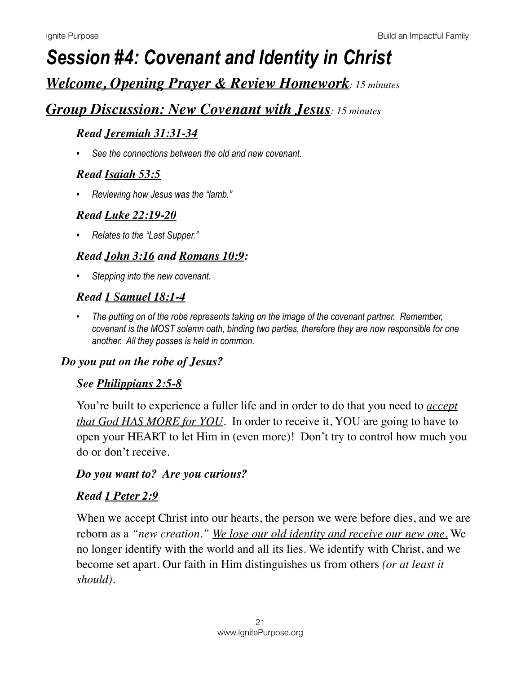# *Session #4: Covenant and Identity in Christ*

## *Welcome, Opening Prayer & Review Homework: 15 minutes*

## *Group Discussion: New Covenant with Jesus: 15 minutes*

#### *Read [Jeremiah 31:31-34](https://www.biblegateway.com/passage/?search=Jeremiah+31:31-34&version=NIV)*

*• See the connections between the old and new covenant.* 

#### *Read [Isaiah 53:5](https://www.biblegateway.com/passage/?search=Isaiah+53:5&version=NIV)*

*• Reviewing how Jesus was the "lamb."* 

#### *Read [Luke 22:19-20](https://www.biblegateway.com/passage/?search=Luke+22:19-20&version=NIV)*

*• Relates to the "Last Supper."* 

### *Read [John 3:16](https://www.biblegateway.com/passage/?search=John+3:16&version=NIV) and [Romans 10:9](https://www.biblegateway.com/passage/?search=Romans+10:9&version=NIV):*

*• Stepping into the new covenant.* 

### *Read [1 Samuel 18:1-4](https://www.biblegateway.com/passage/?search=1+Samuel+18:1-4&version=NIV)*

*• The putting on of the robe represents taking on the image of the covenant partner. Remember, covenant is the MOST solemn oath, binding two parties, therefore they are now responsible for one another. All they posses is held in common.* 

#### *Do you put on the robe of Jesus?*

#### *See [Philippians 2:5-8](https://www.biblegateway.com/passage/?search=Philippians+2:5-8&version=NIV)*

You're built to experience a fuller life and in order to do that you need to *accept that God HAS MORE for YOU*. In order to receive it, YOU are going to have to open your HEART to let Him in (even more)! Don't try to control how much you do or don't receive.

#### *Do you want to? Are you curious?*

#### *Read [1 Peter 2:9](https://www.biblegateway.com/passage/?search=1%20Peter%202:9&version=NIV)*

When we accept Christ into our hearts, the person we were before dies, and we are reborn as a *"new creation." We lose our old identity and receive our new one.* We no longer identify with the world and all its lies. We identify with Christ, and we become set apart. Our faith in Him distinguishes us from others *(or at least it should).*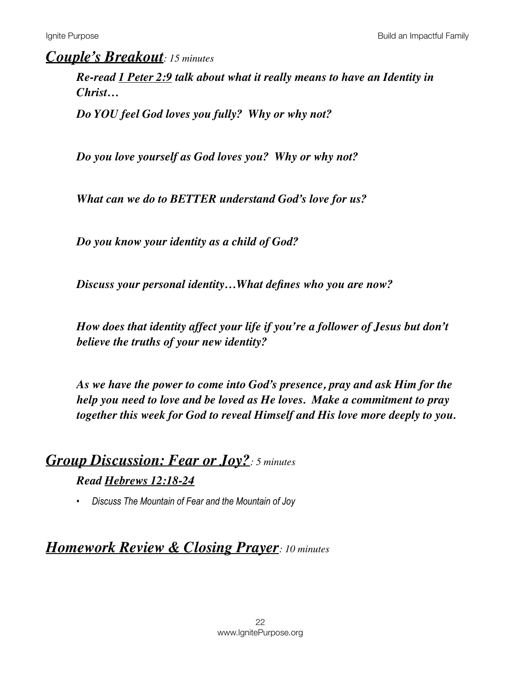### *Couple's Breakout: 15 minutes*

*Re-read [1 Peter 2:9](https://www.biblegateway.com/passage/?search=1%20Peter%202:9&version=NIV) talk about what it really means to have an Identity in Christ…*

*Do YOU feel God loves you fully? Why or why not?* 

*Do you love yourself as God loves you? Why or why not?* 

*What can we do to BETTER understand God's love for us?* 

*Do you know your identity as a child of God?*

*Discuss your personal identity…What defines who you are now?* 

*How does that identity affect your life if you're a follower of Jesus but don't believe the truths of your new identity?*

*As we have the power to come into God's presence, pray and ask Him for the help you need to love and be loved as He loves. Make a commitment to pray together this week for God to reveal Himself and His love more deeply to you.*

## *Group Discussion: Fear or Joy?: 5 minutes Read [Hebrews 12:18-24](https://www.biblegateway.com/passage/?search=Hebrews+12:18-24&version=NIV)*

*• Discuss The Mountain of Fear and the Mountain of Joy* 

## *Homework Review & Closing Prayer: 10 minutes*